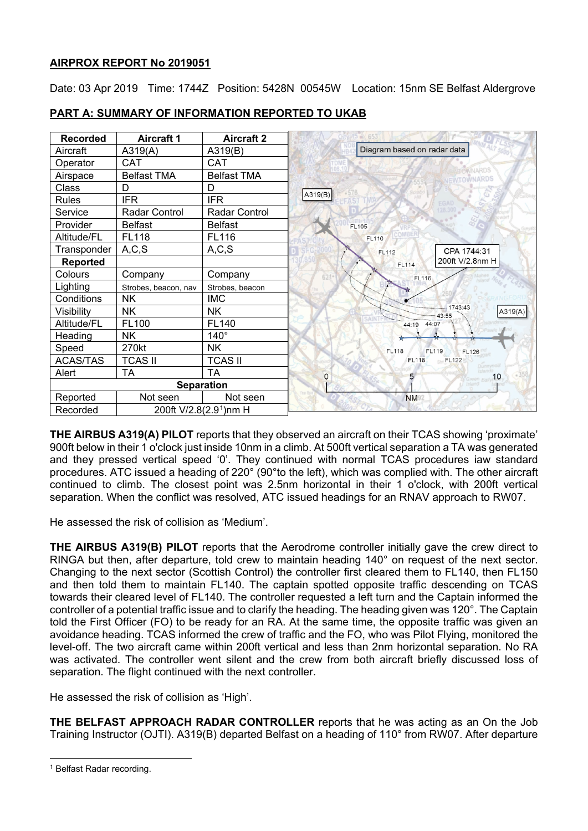### **AIRPROX REPORT No 2019051**

Date: 03 Apr 2019 Time: 1744Z Position: 5428N 00545W Location: 15nm SE Belfast Aldergrove



# **PART A: SUMMARY OF INFORMATION REPORTED TO UKAB**

**THE AIRBUS A319(A) PILOT** reports that they observed an aircraft on their TCAS showing 'proximate' 900ft below in their 1 o'clock just inside 10nm in a climb. At 500ft vertical separation a TA was generated and they pressed vertical speed '0'. They continued with normal TCAS procedures iaw standard procedures. ATC issued a heading of 220° (90°to the left), which was complied with. The other aircraft continued to climb. The closest point was 2.5nm horizontal in their 1 o'clock, with 200ft vertical separation. When the conflict was resolved, ATC issued headings for an RNAV approach to RW07.

He assessed the risk of collision as 'Medium'.

**THE AIRBUS A319(B) PILOT** reports that the Aerodrome controller initially gave the crew direct to RINGA but then, after departure, told crew to maintain heading 140° on request of the next sector. Changing to the next sector (Scottish Control) the controller first cleared them to FL140, then FL150 and then told them to maintain FL140. The captain spotted opposite traffic descending on TCAS towards their cleared level of FL140. The controller requested a left turn and the Captain informed the controller of a potential traffic issue and to clarify the heading. The heading given was 120°. The Captain told the First Officer (FO) to be ready for an RA. At the same time, the opposite traffic was given an avoidance heading. TCAS informed the crew of traffic and the FO, who was Pilot Flying, monitored the level-off. The two aircraft came within 200ft vertical and less than 2nm horizontal separation. No RA was activated. The controller went silent and the crew from both aircraft briefly discussed loss of separation. The flight continued with the next controller.

He assessed the risk of collision as 'High'.

**THE BELFAST APPROACH RADAR CONTROLLER** reports that he was acting as an On the Job Training Instructor (OJTI). A319(B) departed Belfast on a heading of 110° from RW07. After departure

 $\overline{a}$ 

<span id="page-0-0"></span><sup>1</sup> Belfast Radar recording.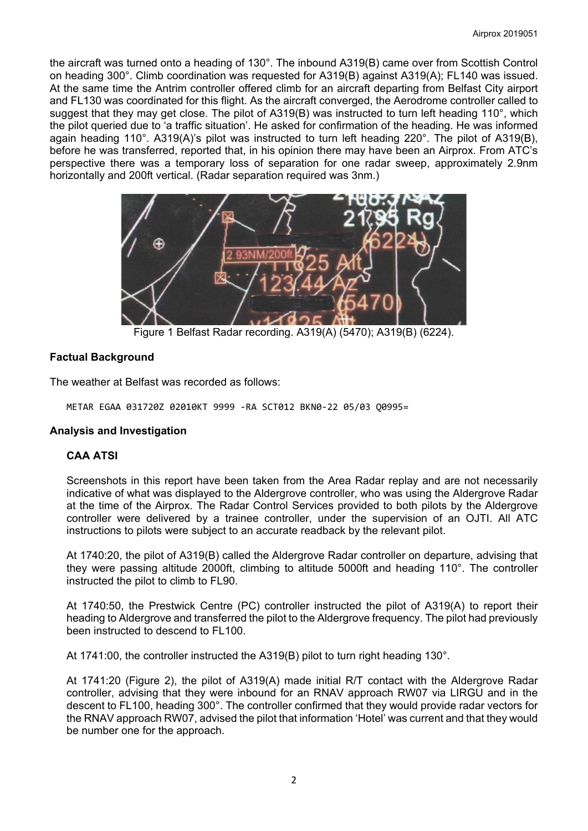the aircraft was turned onto a heading of 130°. The inbound A319(B) came over from Scottish Control on heading 300°. Climb coordination was requested for A319(B) against A319(A); FL140 was issued. At the same time the Antrim controller offered climb for an aircraft departing from Belfast City airport and FL130 was coordinated for this flight. As the aircraft converged, the Aerodrome controller called to suggest that they may get close. The pilot of A319(B) was instructed to turn left heading 110°, which the pilot queried due to 'a traffic situation'. He asked for confirmation of the heading. He was informed again heading 110°. A319(A)'s pilot was instructed to turn left heading 220°. The pilot of A319(B), before he was transferred, reported that, in his opinion there may have been an Airprox. From ATC's perspective there was a temporary loss of separation for one radar sweep, approximately 2.9nm horizontally and 200ft vertical. (Radar separation required was 3nm.)



Figure 1 Belfast Radar recording. A319(A) (5470); A319(B) (6224).

### **Factual Background**

The weather at Belfast was recorded as follows:

METAR EGAA 031720Z 02010KT 9999 -RA SCT012 BKN0-22 05/03 Q0995=

#### **Analysis and Investigation**

### **CAA ATSI**

Screenshots in this report have been taken from the Area Radar replay and are not necessarily indicative of what was displayed to the Aldergrove controller, who was using the Aldergrove Radar at the time of the Airprox. The Radar Control Services provided to both pilots by the Aldergrove controller were delivered by a trainee controller, under the supervision of an OJTI. All ATC instructions to pilots were subject to an accurate readback by the relevant pilot.

At 1740:20, the pilot of A319(B) called the Aldergrove Radar controller on departure, advising that they were passing altitude 2000ft, climbing to altitude 5000ft and heading 110°. The controller instructed the pilot to climb to FL90.

At 1740:50, the Prestwick Centre (PC) controller instructed the pilot of A319(A) to report their heading to Aldergrove and transferred the pilot to the Aldergrove frequency. The pilot had previously been instructed to descend to FL100.

At 1741:00, the controller instructed the A319(B) pilot to turn right heading 130°.

At 1741:20 (Figure 2), the pilot of A319(A) made initial R/T contact with the Aldergrove Radar controller, advising that they were inbound for an RNAV approach RW07 via LIRGU and in the descent to FL100, heading 300°. The controller confirmed that they would provide radar vectors for the RNAV approach RW07, advised the pilot that information 'Hotel' was current and that they would be number one for the approach.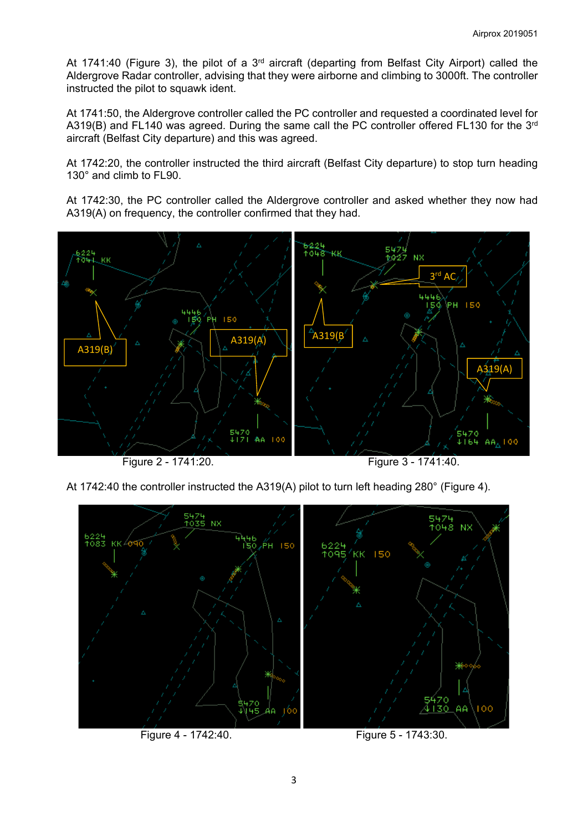At 1741:40 (Figure 3), the pilot of a 3<sup>rd</sup> aircraft (departing from Belfast City Airport) called the Aldergrove Radar controller, advising that they were airborne and climbing to 3000ft. The controller instructed the pilot to squawk ident.

At 1741:50, the Aldergrove controller called the PC controller and requested a coordinated level for A319(B) and FL140 was agreed. During the same call the PC controller offered FL130 for the 3<sup>rd</sup> aircraft (Belfast City departure) and this was agreed.

At 1742:20, the controller instructed the third aircraft (Belfast City departure) to stop turn heading 130° and climb to FL90.

At 1742:30, the PC controller called the Aldergrove controller and asked whether they now had A319(A) on frequency, the controller confirmed that they had.



Figure 2 - 1741:20. Figure 3 - 1741:40.

At 1742:40 the controller instructed the A319(A) pilot to turn left heading 280° (Figure 4).



Figure 4 - 1742:40. Figure 5 - 1743:30.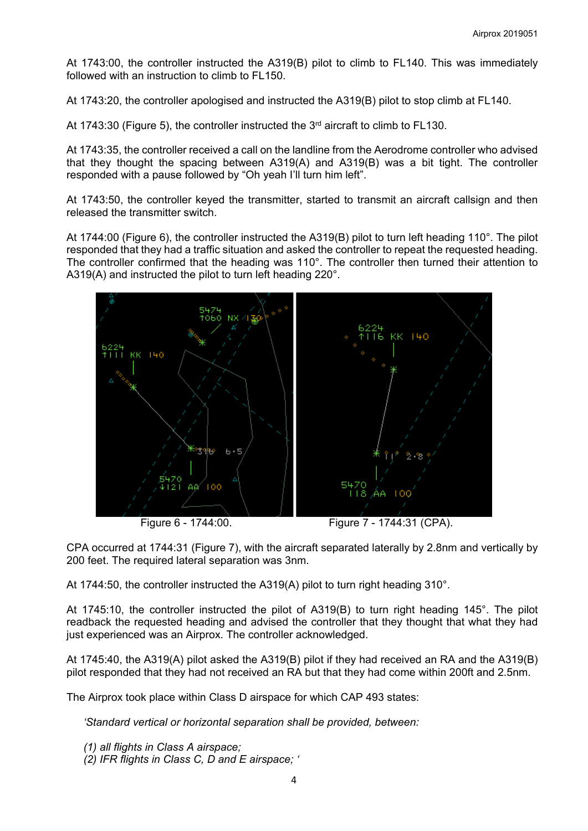At 1743:00, the controller instructed the A319(B) pilot to climb to FL140. This was immediately followed with an instruction to climb to FL150.

At 1743:20, the controller apologised and instructed the A319(B) pilot to stop climb at FL140.

At 1743:30 (Figure 5), the controller instructed the  $3<sup>rd</sup>$  aircraft to climb to FL130.

At 1743:35, the controller received a call on the landline from the Aerodrome controller who advised that they thought the spacing between A319(A) and A319(B) was a bit tight. The controller responded with a pause followed by "Oh yeah I'll turn him left".

At 1743:50, the controller keyed the transmitter, started to transmit an aircraft callsign and then released the transmitter switch.

At 1744:00 (Figure 6), the controller instructed the A319(B) pilot to turn left heading 110°. The pilot responded that they had a traffic situation and asked the controller to repeat the requested heading. The controller confirmed that the heading was 110°. The controller then turned their attention to A319(A) and instructed the pilot to turn left heading 220°.



Figure 6 - 1744:00. Figure 7 - 1744:31 (CPA).

CPA occurred at 1744:31 (Figure 7), with the aircraft separated laterally by 2.8nm and vertically by 200 feet. The required lateral separation was 3nm.

At 1744:50, the controller instructed the A319(A) pilot to turn right heading 310°.

At 1745:10, the controller instructed the pilot of A319(B) to turn right heading 145°. The pilot readback the requested heading and advised the controller that they thought that what they had just experienced was an Airprox. The controller acknowledged.

At 1745:40, the A319(A) pilot asked the A319(B) pilot if they had received an RA and the A319(B) pilot responded that they had not received an RA but that they had come within 200ft and 2.5nm.

The Airprox took place within Class D airspace for which CAP 493 states:

*'Standard vertical or horizontal separation shall be provided, between:* 

- *(1) all flights in Class A airspace;*
- *(2) IFR flights in Class C, D and E airspace; '*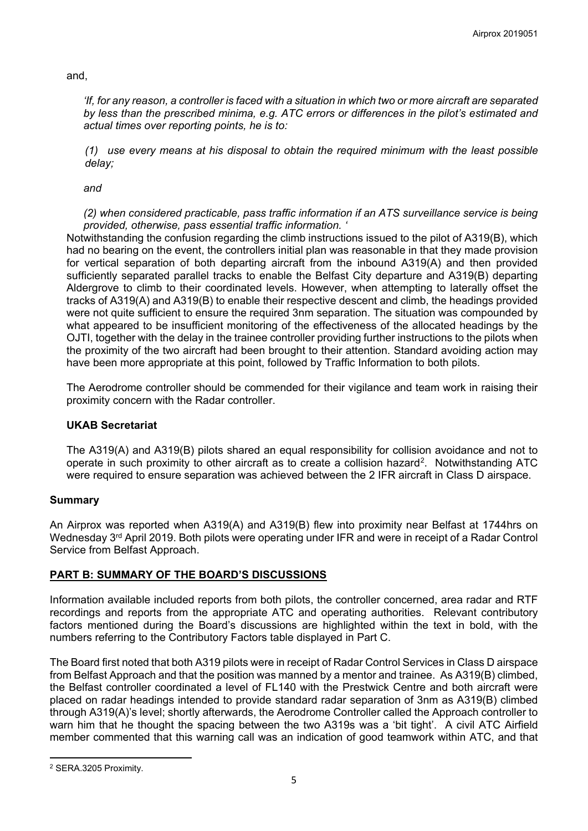and,

*'If, for any reason, a controller is faced with a situation in which two or more aircraft are separated by less than the prescribed minima, e.g. ATC errors or differences in the pilot's estimated and actual times over reporting points, he is to:* 

*(1) use every means at his disposal to obtain the required minimum with the least possible delay;*

*and* 

*(2) when considered practicable, pass traffic information if an ATS surveillance service is being provided, otherwise, pass essential traffic information. '*

Notwithstanding the confusion regarding the climb instructions issued to the pilot of A319(B), which had no bearing on the event, the controllers initial plan was reasonable in that they made provision for vertical separation of both departing aircraft from the inbound A319(A) and then provided sufficiently separated parallel tracks to enable the Belfast City departure and A319(B) departing Aldergrove to climb to their coordinated levels. However, when attempting to laterally offset the tracks of A319(A) and A319(B) to enable their respective descent and climb, the headings provided were not quite sufficient to ensure the required 3nm separation. The situation was compounded by what appeared to be insufficient monitoring of the effectiveness of the allocated headings by the OJTI, together with the delay in the trainee controller providing further instructions to the pilots when the proximity of the two aircraft had been brought to their attention. Standard avoiding action may have been more appropriate at this point, followed by Traffic Information to both pilots.

The Aerodrome controller should be commended for their vigilance and team work in raising their proximity concern with the Radar controller.

# **UKAB Secretariat**

The A319(A) and A319(B) pilots shared an equal responsibility for collision avoidance and not to operate in such proximity to other aircraft as to create a collision hazard[2.](#page-4-0) Notwithstanding ATC were required to ensure separation was achieved between the 2 IFR aircraft in Class D airspace.

# **Summary**

An Airprox was reported when A319(A) and A319(B) flew into proximity near Belfast at 1744hrs on Wednesday 3<sup>rd</sup> April 2019. Both pilots were operating under IFR and were in receipt of a Radar Control Service from Belfast Approach.

# **PART B: SUMMARY OF THE BOARD'S DISCUSSIONS**

Information available included reports from both pilots, the controller concerned, area radar and RTF recordings and reports from the appropriate ATC and operating authorities. Relevant contributory factors mentioned during the Board's discussions are highlighted within the text in bold, with the numbers referring to the Contributory Factors table displayed in Part C.

The Board first noted that both A319 pilots were in receipt of Radar Control Services in Class D airspace from Belfast Approach and that the position was manned by a mentor and trainee. As A319(B) climbed, the Belfast controller coordinated a level of FL140 with the Prestwick Centre and both aircraft were placed on radar headings intended to provide standard radar separation of 3nm as A319(B) climbed through A319(A)'s level; shortly afterwards, the Aerodrome Controller called the Approach controller to warn him that he thought the spacing between the two A319s was a 'bit tight'. A civil ATC Airfield member commented that this warning call was an indication of good teamwork within ATC, and that

<span id="page-4-0"></span> $\overline{a}$ <sup>2</sup> SERA.3205 Proximity.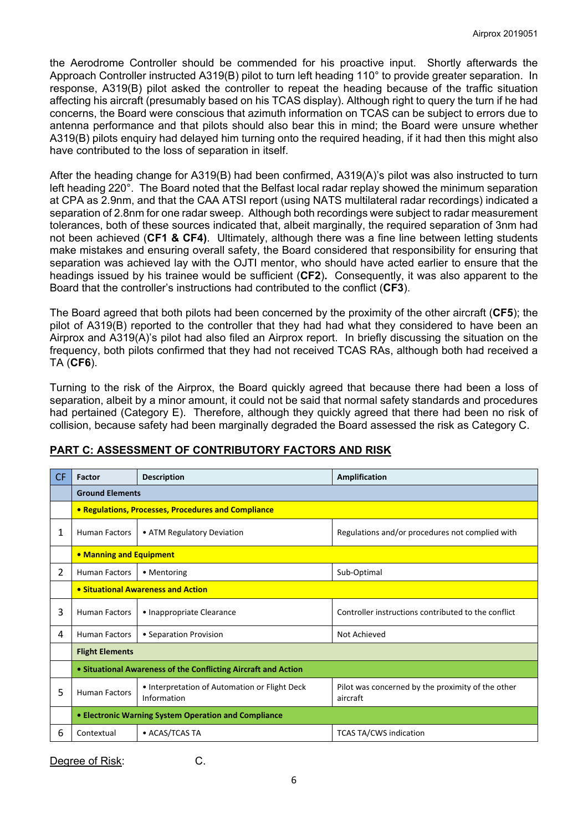the Aerodrome Controller should be commended for his proactive input. Shortly afterwards the Approach Controller instructed A319(B) pilot to turn left heading 110° to provide greater separation. In response, A319(B) pilot asked the controller to repeat the heading because of the traffic situation affecting his aircraft (presumably based on his TCAS display). Although right to query the turn if he had concerns, the Board were conscious that azimuth information on TCAS can be subject to errors due to antenna performance and that pilots should also bear this in mind; the Board were unsure whether A319(B) pilots enquiry had delayed him turning onto the required heading, if it had then this might also have contributed to the loss of separation in itself.

After the heading change for A319(B) had been confirmed, A319(A)'s pilot was also instructed to turn left heading 220°. The Board noted that the Belfast local radar replay showed the minimum separation at CPA as 2.9nm, and that the CAA ATSI report (using NATS multilateral radar recordings) indicated a separation of 2.8nm for one radar sweep. Although both recordings were subject to radar measurement tolerances, both of these sources indicated that, albeit marginally, the required separation of 3nm had not been achieved (**CF1 & CF4)**. Ultimately, although there was a fine line between letting students make mistakes and ensuring overall safety, the Board considered that responsibility for ensuring that separation was achieved lay with the OJTI mentor, who should have acted earlier to ensure that the headings issued by his trainee would be sufficient (**CF2**)**.** Consequently, it was also apparent to the Board that the controller's instructions had contributed to the conflict (**CF3**).

The Board agreed that both pilots had been concerned by the proximity of the other aircraft (**CF5**); the pilot of A319(B) reported to the controller that they had had what they considered to have been an Airprox and A319(A)'s pilot had also filed an Airprox report. In briefly discussing the situation on the frequency, both pilots confirmed that they had not received TCAS RAs, although both had received a TA (**CF6**).

Turning to the risk of the Airprox, the Board quickly agreed that because there had been a loss of separation, albeit by a minor amount, it could not be said that normal safety standards and procedures had pertained (Category E). Therefore, although they quickly agreed that there had been no risk of collision, because safety had been marginally degraded the Board assessed the risk as Category C.

| <b>CF</b>      | Factor                                                         | <b>Description</b>                                           | Amplification                                                 |
|----------------|----------------------------------------------------------------|--------------------------------------------------------------|---------------------------------------------------------------|
|                | <b>Ground Elements</b>                                         |                                                              |                                                               |
|                | • Regulations, Processes, Procedures and Compliance            |                                                              |                                                               |
| 1              | <b>Human Factors</b>                                           | • ATM Regulatory Deviation                                   | Regulations and/or procedures not complied with               |
|                | • Manning and Equipment                                        |                                                              |                                                               |
| $\overline{2}$ | <b>Human Factors</b>                                           | • Mentoring                                                  | Sub-Optimal                                                   |
|                | • Situational Awareness and Action                             |                                                              |                                                               |
| 3              | <b>Human Factors</b>                                           | • Inappropriate Clearance                                    | Controller instructions contributed to the conflict           |
| 4              | <b>Human Factors</b>                                           | • Separation Provision                                       | Not Achieved                                                  |
|                | <b>Flight Elements</b>                                         |                                                              |                                                               |
|                | • Situational Awareness of the Conflicting Aircraft and Action |                                                              |                                                               |
| 5              | <b>Human Factors</b>                                           | • Interpretation of Automation or Flight Deck<br>Information | Pilot was concerned by the proximity of the other<br>aircraft |
|                | • Electronic Warning System Operation and Compliance           |                                                              |                                                               |
| 6              | Contextual                                                     | • ACAS/TCAS TA                                               | <b>TCAS TA/CWS indication</b>                                 |

# **PART C: ASSESSMENT OF CONTRIBUTORY FACTORS AND RISK**

Degree of Risk: C.